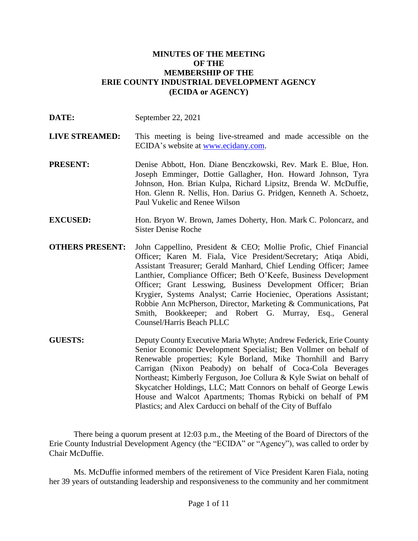#### **MINUTES OF THE MEETING OF THE MEMBERSHIP OF THE ERIE COUNTY INDUSTRIAL DEVELOPMENT AGENCY (ECIDA or AGENCY)**

| DATE:                  | September 22, 2021                                                                                                                                                                                                                                                                                                                                                                                                                                                                                                                                                          |
|------------------------|-----------------------------------------------------------------------------------------------------------------------------------------------------------------------------------------------------------------------------------------------------------------------------------------------------------------------------------------------------------------------------------------------------------------------------------------------------------------------------------------------------------------------------------------------------------------------------|
| <b>LIVE STREAMED:</b>  | This meeting is being live-streamed and made accessible on the<br>ECIDA's website at www.ecidany.com.                                                                                                                                                                                                                                                                                                                                                                                                                                                                       |
| <b>PRESENT:</b>        | Denise Abbott, Hon. Diane Benczkowski, Rev. Mark E. Blue, Hon.<br>Joseph Emminger, Dottie Gallagher, Hon. Howard Johnson, Tyra<br>Johnson, Hon. Brian Kulpa, Richard Lipsitz, Brenda W. McDuffie,<br>Hon. Glenn R. Nellis, Hon. Darius G. Pridgen, Kenneth A. Schoetz,<br>Paul Vukelic and Renee Wilson                                                                                                                                                                                                                                                                     |
| <b>EXCUSED:</b>        | Hon. Bryon W. Brown, James Doherty, Hon. Mark C. Poloncarz, and<br><b>Sister Denise Roche</b>                                                                                                                                                                                                                                                                                                                                                                                                                                                                               |
| <b>OTHERS PRESENT:</b> | John Cappellino, President & CEO; Mollie Profic, Chief Financial<br>Officer; Karen M. Fiala, Vice President/Secretary; Atiqa Abidi,<br>Assistant Treasurer; Gerald Manhard, Chief Lending Officer; Jamee<br>Lanthier, Compliance Officer; Beth O'Keefe, Business Development<br>Officer; Grant Lesswing, Business Development Officer; Brian<br>Krygier, Systems Analyst; Carrie Hocieniec, Operations Assistant;<br>Robbie Ann McPherson, Director, Marketing & Communications, Pat<br>Smith, Bookkeeper; and Robert G. Murray, Esq., General<br>Counsel/Harris Beach PLLC |
| <b>GUESTS:</b>         | Deputy County Executive Maria Whyte; Andrew Federick, Erie County<br>Senior Economic Development Specialist; Ben Vollmer on behalf of<br>Renewable properties; Kyle Borland, Mike Thornhill and Barry<br>Carrigan (Nixon Peabody) on behalf of Coca-Cola Beverages<br>Northeast; Kimberly Ferguson, Joe Collura & Kyle Swiat on behalf of<br>Skycatcher Holdings, LLC; Matt Connors on behalf of George Lewis<br>House and Walcot Apartments; Thomas Rybicki on behalf of PM                                                                                                |

Plastics; and Alex Carducci on behalf of the City of Buffalo

There being a quorum present at 12:03 p.m., the Meeting of the Board of Directors of the Erie County Industrial Development Agency (the "ECIDA" or "Agency"), was called to order by Chair McDuffie.

Ms. McDuffie informed members of the retirement of Vice President Karen Fiala, noting her 39 years of outstanding leadership and responsiveness to the community and her commitment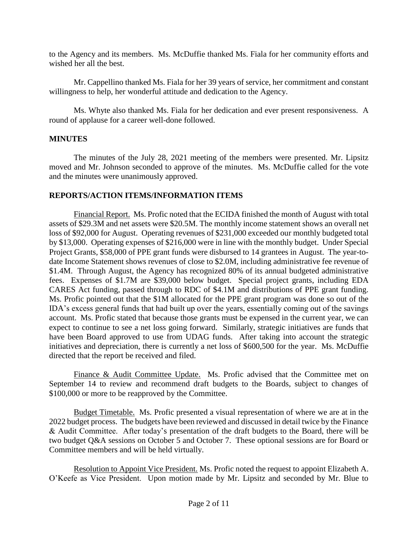to the Agency and its members. Ms. McDuffie thanked Ms. Fiala for her community efforts and wished her all the best.

Mr. Cappellino thanked Ms. Fiala for her 39 years of service, her commitment and constant willingness to help, her wonderful attitude and dedication to the Agency.

Ms. Whyte also thanked Ms. Fiala for her dedication and ever present responsiveness. A round of applause for a career well-done followed.

# **MINUTES**

The minutes of the July 28, 2021 meeting of the members were presented. Mr. Lipsitz moved and Mr. Johnson seconded to approve of the minutes. Ms. McDuffie called for the vote and the minutes were unanimously approved.

# **REPORTS/ACTION ITEMS/INFORMATION ITEMS**

Financial Report. Ms. Profic noted that the ECIDA finished the month of August with total assets of \$29.3M and net assets were \$20.5M. The monthly income statement shows an overall net loss of \$92,000 for August. Operating revenues of \$231,000 exceeded our monthly budgeted total by \$13,000. Operating expenses of \$216,000 were in line with the monthly budget. Under Special Project Grants, \$58,000 of PPE grant funds were disbursed to 14 grantees in August. The year-todate Income Statement shows revenues of close to \$2.0M, including administrative fee revenue of \$1.4M. Through August, the Agency has recognized 80% of its annual budgeted administrative fees. Expenses of \$1.7M are \$39,000 below budget. Special project grants, including EDA CARES Act funding, passed through to RDC of \$4.1M and distributions of PPE grant funding. Ms. Profic pointed out that the \$1M allocated for the PPE grant program was done so out of the IDA's excess general funds that had built up over the years, essentially coming out of the savings account. Ms. Profic stated that because those grants must be expensed in the current year, we can expect to continue to see a net loss going forward. Similarly, strategic initiatives are funds that have been Board approved to use from UDAG funds. After taking into account the strategic initiatives and depreciation, there is currently a net loss of \$600,500 for the year. Ms. McDuffie directed that the report be received and filed.

Finance & Audit Committee Update. Ms. Profic advised that the Committee met on September 14 to review and recommend draft budgets to the Boards, subject to changes of \$100,000 or more to be reapproved by the Committee.

Budget Timetable. Ms. Profic presented a visual representation of where we are at in the 2022 budget process. The budgets have been reviewed and discussed in detail twice by the Finance & Audit Committee. After today's presentation of the draft budgets to the Board, there will be two budget Q&A sessions on October 5 and October 7. These optional sessions are for Board or Committee members and will be held virtually.

Resolution to Appoint Vice President. Ms. Profic noted the request to appoint Elizabeth A. O'Keefe as Vice President. Upon motion made by Mr. Lipsitz and seconded by Mr. Blue to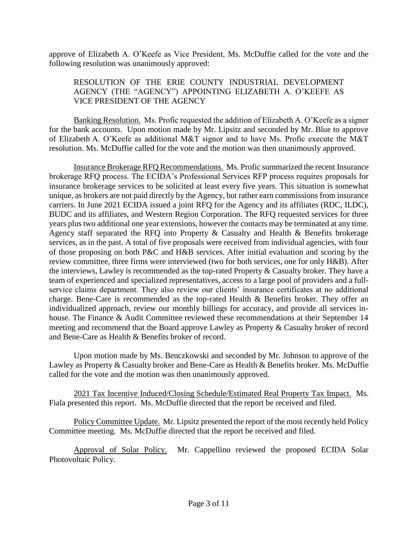approve of Elizabeth A. O'Keefe as Vice President, Ms. McDuffie called for the vote and the following resolution was unanimously approved:

## RESOLUTION OF THE ERIE COUNTY INDUSTRIAL DEVELOPMENT AGENCY (THE "AGENCY") APPOINTING ELIZABETH A. O'KEEFE AS VICE PRESIDENT OF THE AGENCY

Banking Resolution. Ms. Profic requested the addition of Elizabeth A. O'Keefe as a signer for the bank accounts. Upon motion made by Mr. Lipsitz and seconded by Mr. Blue to approve of Elizabeth A. O'Keefe as additional M&T signor and to have Ms. Profic execute the M&T resolution. Ms. McDuffie called for the vote and the motion was then unanimously approved.

Insurance Brokerage RFQ Recommendations. Ms. Profic summarized the recent Insurance brokerage RFQ process. The ECIDA's Professional Services RFP process requires proposals for insurance brokerage services to be solicited at least every five years. This situation is somewhat unique, as brokers are not paid directly by the Agency, but rather earn commissions from insurance carriers. In June 2021 ECIDA issued a joint RFQ for the Agency and its affiliates (RDC, ILDC), BUDC and its affiliates, and Western Region Corporation. The RFQ requested services for three years plus two additional one year extensions, however the contacts may be terminated at any time. Agency staff separated the RFQ into Property & Casualty and Health & Benefits brokerage services, as in the past. A total of five proposals were received from individual agencies, with four of those proposing on both P&C and H&B services. After initial evaluation and scoring by the review committee, three firms were interviewed (two for both services, one for only H&B). After the interviews, Lawley is recommended as the top-rated Property & Casualty broker. They have a team of experienced and specialized representatives, access to a large pool of providers and a fullservice claims department. They also review our clients' insurance certificates at no additional charge. Bene-Care is recommended as the top-rated Health & Benefits broker. They offer an individualized approach, review our monthly billings for accuracy, and provide all services inhouse. The Finance & Audit Committee reviewed these recommendations at their September 14 meeting and recommend that the Board approve Lawley as Property & Casualty broker of record and Bene-Care as Health & Benefits broker of record.

Upon motion made by Ms. Benczkowski and seconded by Mr. Johnson to approve of the Lawley as Property & Casualty broker and Bene-Care as Health & Benefits broker. Ms. McDuffie called for the vote and the motion was then unanimously approved.

2021 Tax Incentive Induced/Closing Schedule/Estimated Real Property Tax Impact. Ms. Fiala presented this report. Ms. McDuffie directed that the report be received and filed.

Policy Committee Update. Mr. Lipsitz presented the report of the most recently held Policy Committee meeting. Ms. McDuffie directed that the report be received and filed.

Approval of Solar Policy. Mr. Cappellino reviewed the proposed ECIDA Solar Photovoltaic Policy.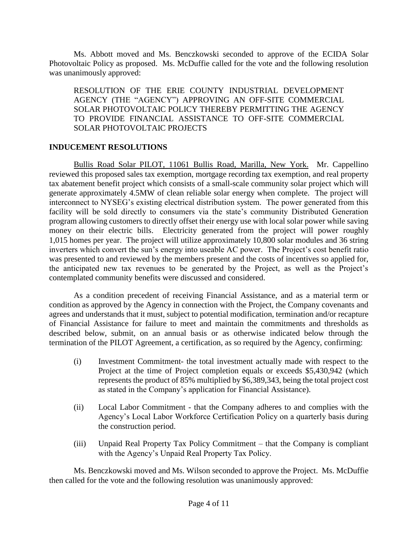Ms. Abbott moved and Ms. Benczkowski seconded to approve of the ECIDA Solar Photovoltaic Policy as proposed. Ms. McDuffie called for the vote and the following resolution was unanimously approved:

RESOLUTION OF THE ERIE COUNTY INDUSTRIAL DEVELOPMENT AGENCY (THE "AGENCY") APPROVING AN OFF-SITE COMMERCIAL SOLAR PHOTOVOLTAIC POLICY THEREBY PERMITTING THE AGENCY TO PROVIDE FINANCIAL ASSISTANCE TO OFF-SITE COMMERCIAL SOLAR PHOTOVOLTAIC PROJECTS

#### **INDUCEMENT RESOLUTIONS**

Bullis Road Solar PILOT, 11061 Bullis Road, Marilla, New York. Mr. Cappellino reviewed this proposed sales tax exemption, mortgage recording tax exemption, and real property tax abatement benefit project which consists of a small-scale community solar project which will generate approximately 4.5MW of clean reliable solar energy when complete. The project will interconnect to NYSEG's existing electrical distribution system. The power generated from this facility will be sold directly to consumers via the state's community Distributed Generation program allowing customers to directly offset their energy use with local solar power while saving money on their electric bills. Electricity generated from the project will power roughly 1,015 homes per year. The project will utilize approximately 10,800 solar modules and 36 string inverters which convert the sun's energy into useable AC power. The Project's cost benefit ratio was presented to and reviewed by the members present and the costs of incentives so applied for, the anticipated new tax revenues to be generated by the Project, as well as the Project's contemplated community benefits were discussed and considered.

As a condition precedent of receiving Financial Assistance, and as a material term or condition as approved by the Agency in connection with the Project, the Company covenants and agrees and understands that it must, subject to potential modification, termination and/or recapture of Financial Assistance for failure to meet and maintain the commitments and thresholds as described below, submit, on an annual basis or as otherwise indicated below through the termination of the PILOT Agreement, a certification, as so required by the Agency, confirming:

- (i) Investment Commitment- the total investment actually made with respect to the Project at the time of Project completion equals or exceeds \$5,430,942 (which represents the product of 85% multiplied by \$6,389,343, being the total project cost as stated in the Company's application for Financial Assistance).
- (ii) Local Labor Commitment that the Company adheres to and complies with the Agency's Local Labor Workforce Certification Policy on a quarterly basis during the construction period.
- (iii) Unpaid Real Property Tax Policy Commitment that the Company is compliant with the Agency's Unpaid Real Property Tax Policy.

Ms. Benczkowski moved and Ms. Wilson seconded to approve the Project. Ms. McDuffie then called for the vote and the following resolution was unanimously approved: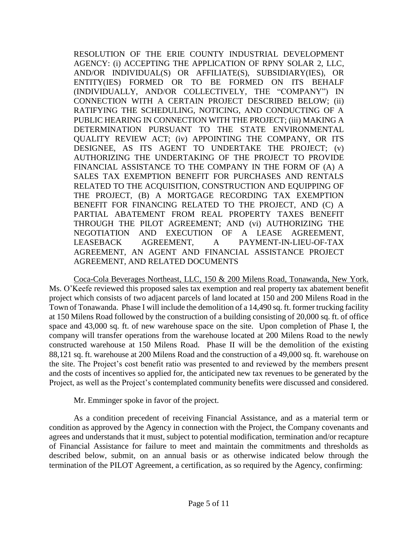RESOLUTION OF THE ERIE COUNTY INDUSTRIAL DEVELOPMENT AGENCY: (i) ACCEPTING THE APPLICATION OF RPNY SOLAR 2, LLC, AND/OR INDIVIDUAL(S) OR AFFILIATE(S), SUBSIDIARY(IES), OR ENTITY(IES) FORMED OR TO BE FORMED ON ITS BEHALF (INDIVIDUALLY, AND/OR COLLECTIVELY, THE "COMPANY") IN CONNECTION WITH A CERTAIN PROJECT DESCRIBED BELOW; (ii) RATIFYING THE SCHEDULING, NOTICING, AND CONDUCTING OF A PUBLIC HEARING IN CONNECTION WITH THE PROJECT; (iii) MAKING A DETERMINATION PURSUANT TO THE STATE ENVIRONMENTAL QUALITY REVIEW ACT; (iv) APPOINTING THE COMPANY, OR ITS DESIGNEE, AS ITS AGENT TO UNDERTAKE THE PROJECT; (v) AUTHORIZING THE UNDERTAKING OF THE PROJECT TO PROVIDE FINANCIAL ASSISTANCE TO THE COMPANY IN THE FORM OF (A) A SALES TAX EXEMPTION BENEFIT FOR PURCHASES AND RENTALS RELATED TO THE ACQUISITION, CONSTRUCTION AND EQUIPPING OF THE PROJECT, (B) A MORTGAGE RECORDING TAX EXEMPTION BENEFIT FOR FINANCING RELATED TO THE PROJECT, AND (C) A PARTIAL ABATEMENT FROM REAL PROPERTY TAXES BENEFIT THROUGH THE PILOT AGREEMENT; AND (vi) AUTHORIZING THE NEGOTIATION AND EXECUTION OF A LEASE AGREEMENT, LEASEBACK AGREEMENT, A PAYMENT-IN-LIEU-OF-TAX AGREEMENT, AN AGENT AND FINANCIAL ASSISTANCE PROJECT AGREEMENT, AND RELATED DOCUMENTS

Coca-Cola Beverages Northeast, LLC, 150 & 200 Milens Road, Tonawanda, New York. Ms. O'Keefe reviewed this proposed sales tax exemption and real property tax abatement benefit project which consists of two adjacent parcels of land located at 150 and 200 Milens Road in the Town of Tonawanda. Phase I will include the demolition of a 14,490 sq. ft. former trucking facility at 150 Milens Road followed by the construction of a building consisting of 20,000 sq. ft. of office space and 43,000 sq. ft. of new warehouse space on the site. Upon completion of Phase I, the company will transfer operations from the warehouse located at 200 Milens Road to the newly constructed warehouse at 150 Milens Road. Phase II will be the demolition of the existing 88,121 sq. ft. warehouse at 200 Milens Road and the construction of a 49,000 sq. ft. warehouse on the site. The Project's cost benefit ratio was presented to and reviewed by the members present and the costs of incentives so applied for, the anticipated new tax revenues to be generated by the Project, as well as the Project's contemplated community benefits were discussed and considered.

Mr. Emminger spoke in favor of the project.

As a condition precedent of receiving Financial Assistance, and as a material term or condition as approved by the Agency in connection with the Project, the Company covenants and agrees and understands that it must, subject to potential modification, termination and/or recapture of Financial Assistance for failure to meet and maintain the commitments and thresholds as described below, submit, on an annual basis or as otherwise indicated below through the termination of the PILOT Agreement, a certification, as so required by the Agency, confirming: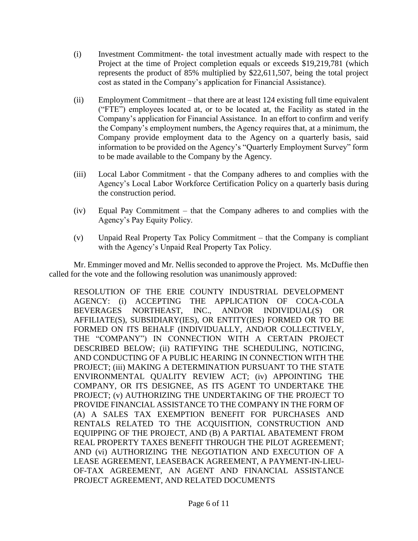- (i) Investment Commitment- the total investment actually made with respect to the Project at the time of Project completion equals or exceeds \$19,219,781 (which represents the product of 85% multiplied by \$22,611,507, being the total project cost as stated in the Company's application for Financial Assistance).
- (ii) Employment Commitment that there are at least 124 existing full time equivalent ("FTE") employees located at, or to be located at, the Facility as stated in the Company's application for Financial Assistance. In an effort to confirm and verify the Company's employment numbers, the Agency requires that, at a minimum, the Company provide employment data to the Agency on a quarterly basis, said information to be provided on the Agency's "Quarterly Employment Survey" form to be made available to the Company by the Agency.
- (iii) Local Labor Commitment that the Company adheres to and complies with the Agency's Local Labor Workforce Certification Policy on a quarterly basis during the construction period.
- (iv) Equal Pay Commitment that the Company adheres to and complies with the Agency's Pay Equity Policy.
- (v) Unpaid Real Property Tax Policy Commitment that the Company is compliant with the Agency's Unpaid Real Property Tax Policy.

Mr. Emminger moved and Mr. Nellis seconded to approve the Project. Ms. McDuffie then called for the vote and the following resolution was unanimously approved:

RESOLUTION OF THE ERIE COUNTY INDUSTRIAL DEVELOPMENT AGENCY: (i) ACCEPTING THE APPLICATION OF COCA-COLA BEVERAGES NORTHEAST, INC., AND/OR INDIVIDUAL(S) OR AFFILIATE(S), SUBSIDIARY(IES), OR ENTITY(IES) FORMED OR TO BE FORMED ON ITS BEHALF (INDIVIDUALLY, AND/OR COLLECTIVELY, THE "COMPANY") IN CONNECTION WITH A CERTAIN PROJECT DESCRIBED BELOW; (ii) RATIFYING THE SCHEDULING, NOTICING, AND CONDUCTING OF A PUBLIC HEARING IN CONNECTION WITH THE PROJECT; (iii) MAKING A DETERMINATION PURSUANT TO THE STATE ENVIRONMENTAL QUALITY REVIEW ACT; (iv) APPOINTING THE COMPANY, OR ITS DESIGNEE, AS ITS AGENT TO UNDERTAKE THE PROJECT; (v) AUTHORIZING THE UNDERTAKING OF THE PROJECT TO PROVIDE FINANCIAL ASSISTANCE TO THE COMPANY IN THE FORM OF (A) A SALES TAX EXEMPTION BENEFIT FOR PURCHASES AND RENTALS RELATED TO THE ACQUISITION, CONSTRUCTION AND EQUIPPING OF THE PROJECT, AND (B) A PARTIAL ABATEMENT FROM REAL PROPERTY TAXES BENEFIT THROUGH THE PILOT AGREEMENT; AND (vi) AUTHORIZING THE NEGOTIATION AND EXECUTION OF A LEASE AGREEMENT, LEASEBACK AGREEMENT, A PAYMENT-IN-LIEU-OF-TAX AGREEMENT, AN AGENT AND FINANCIAL ASSISTANCE PROJECT AGREEMENT, AND RELATED DOCUMENTS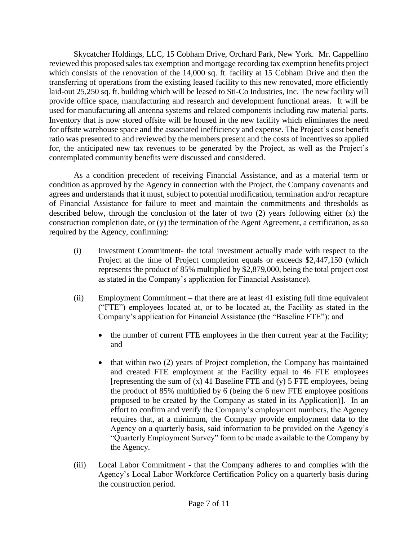Skycatcher Holdings, LLC, 15 Cobham Drive, Orchard Park, New York. Mr. Cappellino reviewed this proposed sales tax exemption and mortgage recording tax exemption benefits project which consists of the renovation of the 14,000 sq. ft. facility at 15 Cobham Drive and then the transferring of operations from the existing leased facility to this new renovated, more efficiently laid-out 25,250 sq. ft. building which will be leased to Sti-Co Industries, Inc. The new facility will provide office space, manufacturing and research and development functional areas. It will be used for manufacturing all antenna systems and related components including raw material parts. Inventory that is now stored offsite will be housed in the new facility which eliminates the need for offsite warehouse space and the associated inefficiency and expense. The Project's cost benefit ratio was presented to and reviewed by the members present and the costs of incentives so applied for, the anticipated new tax revenues to be generated by the Project, as well as the Project's contemplated community benefits were discussed and considered.

As a condition precedent of receiving Financial Assistance, and as a material term or condition as approved by the Agency in connection with the Project, the Company covenants and agrees and understands that it must, subject to potential modification, termination and/or recapture of Financial Assistance for failure to meet and maintain the commitments and thresholds as described below, through the conclusion of the later of two (2) years following either (x) the construction completion date, or (y) the termination of the Agent Agreement, a certification, as so required by the Agency, confirming:

- (i) Investment Commitment- the total investment actually made with respect to the Project at the time of Project completion equals or exceeds \$2,447,150 (which represents the product of 85% multiplied by \$2,879,000, being the total project cost as stated in the Company's application for Financial Assistance).
- (ii) Employment Commitment that there are at least 41 existing full time equivalent ("FTE") employees located at, or to be located at, the Facility as stated in the Company's application for Financial Assistance (the "Baseline FTE"); and
	- the number of current FTE employees in the then current year at the Facility; and
	- $\bullet$  that within two (2) years of Project completion, the Company has maintained and created FTE employment at the Facility equal to 46 FTE employees [representing the sum of  $(x)$  41 Baseline FTE and  $(y)$  5 FTE employees, being the product of 85% multiplied by 6 (being the 6 new FTE employee positions proposed to be created by the Company as stated in its Application)]. In an effort to confirm and verify the Company's employment numbers, the Agency requires that, at a minimum, the Company provide employment data to the Agency on a quarterly basis, said information to be provided on the Agency's "Quarterly Employment Survey" form to be made available to the Company by the Agency.
- (iii) Local Labor Commitment that the Company adheres to and complies with the Agency's Local Labor Workforce Certification Policy on a quarterly basis during the construction period.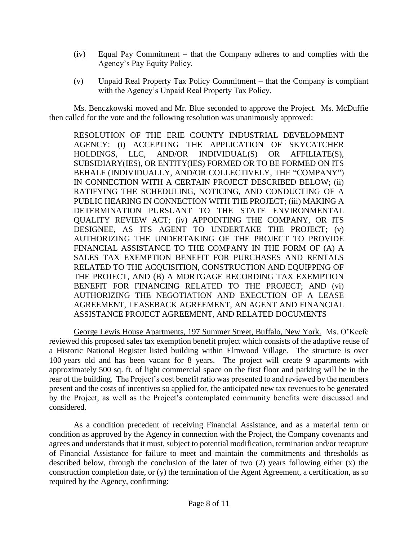- (iv) Equal Pay Commitment that the Company adheres to and complies with the Agency's Pay Equity Policy.
- (v) Unpaid Real Property Tax Policy Commitment that the Company is compliant with the Agency's Unpaid Real Property Tax Policy.

Ms. Benczkowski moved and Mr. Blue seconded to approve the Project. Ms. McDuffie then called for the vote and the following resolution was unanimously approved:

RESOLUTION OF THE ERIE COUNTY INDUSTRIAL DEVELOPMENT AGENCY: (i) ACCEPTING THE APPLICATION OF SKYCATCHER HOLDINGS, LLC, AND/OR INDIVIDUAL(S) OR AFFILIATE(S), SUBSIDIARY(IES), OR ENTITY(IES) FORMED OR TO BE FORMED ON ITS BEHALF (INDIVIDUALLY, AND/OR COLLECTIVELY, THE "COMPANY") IN CONNECTION WITH A CERTAIN PROJECT DESCRIBED BELOW; (ii) RATIFYING THE SCHEDULING, NOTICING, AND CONDUCTING OF A PUBLIC HEARING IN CONNECTION WITH THE PROJECT; (iii) MAKING A DETERMINATION PURSUANT TO THE STATE ENVIRONMENTAL QUALITY REVIEW ACT; (iv) APPOINTING THE COMPANY, OR ITS DESIGNEE, AS ITS AGENT TO UNDERTAKE THE PROJECT; (v) AUTHORIZING THE UNDERTAKING OF THE PROJECT TO PROVIDE FINANCIAL ASSISTANCE TO THE COMPANY IN THE FORM OF (A) A SALES TAX EXEMPTION BENEFIT FOR PURCHASES AND RENTALS RELATED TO THE ACQUISITION, CONSTRUCTION AND EQUIPPING OF THE PROJECT, AND (B) A MORTGAGE RECORDING TAX EXEMPTION BENEFIT FOR FINANCING RELATED TO THE PROJECT; AND (vi) AUTHORIZING THE NEGOTIATION AND EXECUTION OF A LEASE AGREEMENT, LEASEBACK AGREEMENT, AN AGENT AND FINANCIAL ASSISTANCE PROJECT AGREEMENT, AND RELATED DOCUMENTS

George Lewis House Apartments, 197 Summer Street, Buffalo, New York. Ms. O'Keefe reviewed this proposed sales tax exemption benefit project which consists of the adaptive reuse of a Historic National Register listed building within Elmwood Village. The structure is over 100 years old and has been vacant for 8 years. The project will create 9 apartments with approximately 500 sq. ft. of light commercial space on the first floor and parking will be in the rear of the building. The Project's cost benefit ratio was presented to and reviewed by the members present and the costs of incentives so applied for, the anticipated new tax revenues to be generated by the Project, as well as the Project's contemplated community benefits were discussed and considered.

As a condition precedent of receiving Financial Assistance, and as a material term or condition as approved by the Agency in connection with the Project, the Company covenants and agrees and understands that it must, subject to potential modification, termination and/or recapture of Financial Assistance for failure to meet and maintain the commitments and thresholds as described below, through the conclusion of the later of two (2) years following either (x) the construction completion date, or (y) the termination of the Agent Agreement, a certification, as so required by the Agency, confirming: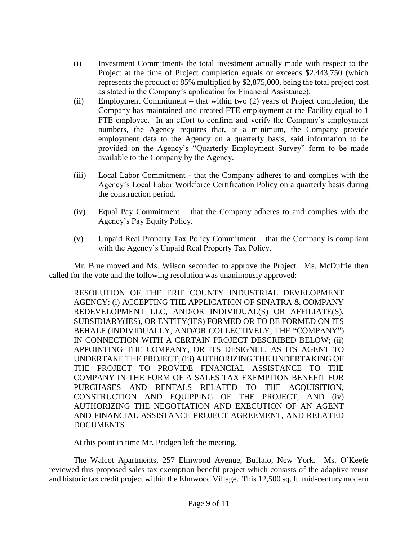- (i) Investment Commitment- the total investment actually made with respect to the Project at the time of Project completion equals or exceeds \$2,443,750 (which represents the product of 85% multiplied by \$2,875,000, being the total project cost as stated in the Company's application for Financial Assistance).
- (ii) Employment Commitment that within two (2) years of Project completion, the Company has maintained and created FTE employment at the Facility equal to 1 FTE employee. In an effort to confirm and verify the Company's employment numbers, the Agency requires that, at a minimum, the Company provide employment data to the Agency on a quarterly basis, said information to be provided on the Agency's "Quarterly Employment Survey" form to be made available to the Company by the Agency.
- (iii) Local Labor Commitment that the Company adheres to and complies with the Agency's Local Labor Workforce Certification Policy on a quarterly basis during the construction period.
- (iv) Equal Pay Commitment that the Company adheres to and complies with the Agency's Pay Equity Policy.
- (v) Unpaid Real Property Tax Policy Commitment that the Company is compliant with the Agency's Unpaid Real Property Tax Policy.

Mr. Blue moved and Ms. Wilson seconded to approve the Project. Ms. McDuffie then called for the vote and the following resolution was unanimously approved:

RESOLUTION OF THE ERIE COUNTY INDUSTRIAL DEVELOPMENT AGENCY: (i) ACCEPTING THE APPLICATION OF SINATRA & COMPANY REDEVELOPMENT LLC, AND/OR INDIVIDUAL(S) OR AFFILIATE(S), SUBSIDIARY(IES), OR ENTITY(IES) FORMED OR TO BE FORMED ON ITS BEHALF (INDIVIDUALLY, AND/OR COLLECTIVELY, THE "COMPANY") IN CONNECTION WITH A CERTAIN PROJECT DESCRIBED BELOW; (ii) APPOINTING THE COMPANY, OR ITS DESIGNEE, AS ITS AGENT TO UNDERTAKE THE PROJECT; (iii) AUTHORIZING THE UNDERTAKING OF THE PROJECT TO PROVIDE FINANCIAL ASSISTANCE TO THE COMPANY IN THE FORM OF A SALES TAX EXEMPTION BENEFIT FOR PURCHASES AND RENTALS RELATED TO THE ACQUISITION, CONSTRUCTION AND EQUIPPING OF THE PROJECT; AND (iv) AUTHORIZING THE NEGOTIATION AND EXECUTION OF AN AGENT AND FINANCIAL ASSISTANCE PROJECT AGREEMENT, AND RELATED DOCUMENTS

At this point in time Mr. Pridgen left the meeting.

The Walcot Apartments, 257 Elmwood Avenue, Buffalo, New York. Ms. O'Keefe reviewed this proposed sales tax exemption benefit project which consists of the adaptive reuse and historic tax credit project within the Elmwood Village. This 12,500 sq. ft. mid-century modern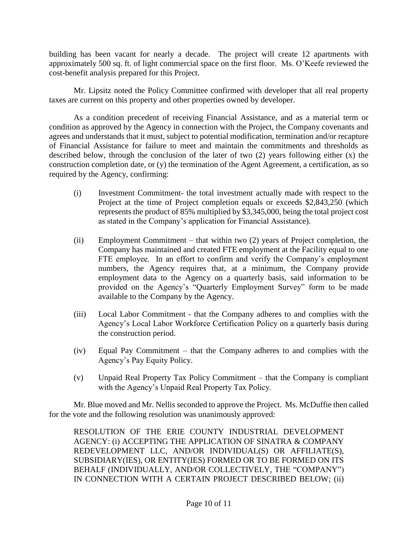building has been vacant for nearly a decade. The project will create 12 apartments with approximately 500 sq. ft. of light commercial space on the first floor. Ms. O'Keefe reviewed the cost-benefit analysis prepared for this Project.

Mr. Lipsitz noted the Policy Committee confirmed with developer that all real property taxes are current on this property and other properties owned by developer.

As a condition precedent of receiving Financial Assistance, and as a material term or condition as approved by the Agency in connection with the Project, the Company covenants and agrees and understands that it must, subject to potential modification, termination and/or recapture of Financial Assistance for failure to meet and maintain the commitments and thresholds as described below, through the conclusion of the later of two (2) years following either (x) the construction completion date, or (y) the termination of the Agent Agreement, a certification, as so required by the Agency, confirming:

- (i) Investment Commitment- the total investment actually made with respect to the Project at the time of Project completion equals or exceeds \$2,843,250 (which represents the product of 85% multiplied by \$3,345,000, being the total project cost as stated in the Company's application for Financial Assistance).
- (ii) Employment Commitment that within two (2) years of Project completion, the Company has maintained and created FTE employment at the Facility equal to one FTE employee. In an effort to confirm and verify the Company's employment numbers, the Agency requires that, at a minimum, the Company provide employment data to the Agency on a quarterly basis, said information to be provided on the Agency's "Quarterly Employment Survey" form to be made available to the Company by the Agency.
- (iii) Local Labor Commitment that the Company adheres to and complies with the Agency's Local Labor Workforce Certification Policy on a quarterly basis during the construction period.
- (iv) Equal Pay Commitment that the Company adheres to and complies with the Agency's Pay Equity Policy.
- (v) Unpaid Real Property Tax Policy Commitment that the Company is compliant with the Agency's Unpaid Real Property Tax Policy.

Mr. Blue moved and Mr. Nellis seconded to approve the Project. Ms. McDuffie then called for the vote and the following resolution was unanimously approved:

RESOLUTION OF THE ERIE COUNTY INDUSTRIAL DEVELOPMENT AGENCY: (i) ACCEPTING THE APPLICATION OF SINATRA & COMPANY REDEVELOPMENT LLC, AND/OR INDIVIDUAL(S) OR AFFILIATE(S), SUBSIDIARY(IES), OR ENTITY(IES) FORMED OR TO BE FORMED ON ITS BEHALF (INDIVIDUALLY, AND/OR COLLECTIVELY, THE "COMPANY") IN CONNECTION WITH A CERTAIN PROJECT DESCRIBED BELOW; (ii)